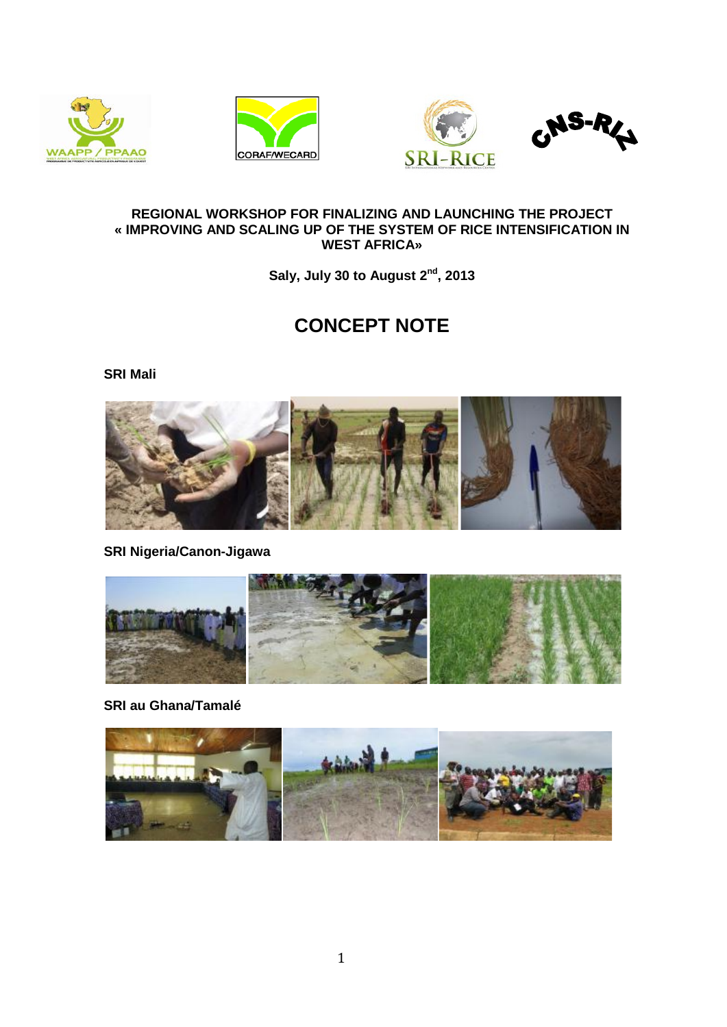







### **REGIONAL WORKSHOP FOR FINALIZING AND LAUNCHING THE PROJECT « IMPROVING AND SCALING UP OF THE SYSTEM OF RICE INTENSIFICATION IN WEST AFRICA»**

**Saly, July 30 to August 2nd, 2013**

# **CONCEPT NOTE**

**SRI Mali**



**SRI Nigeria/Canon-Jigawa**



**SRI au Ghana/Tamalé**

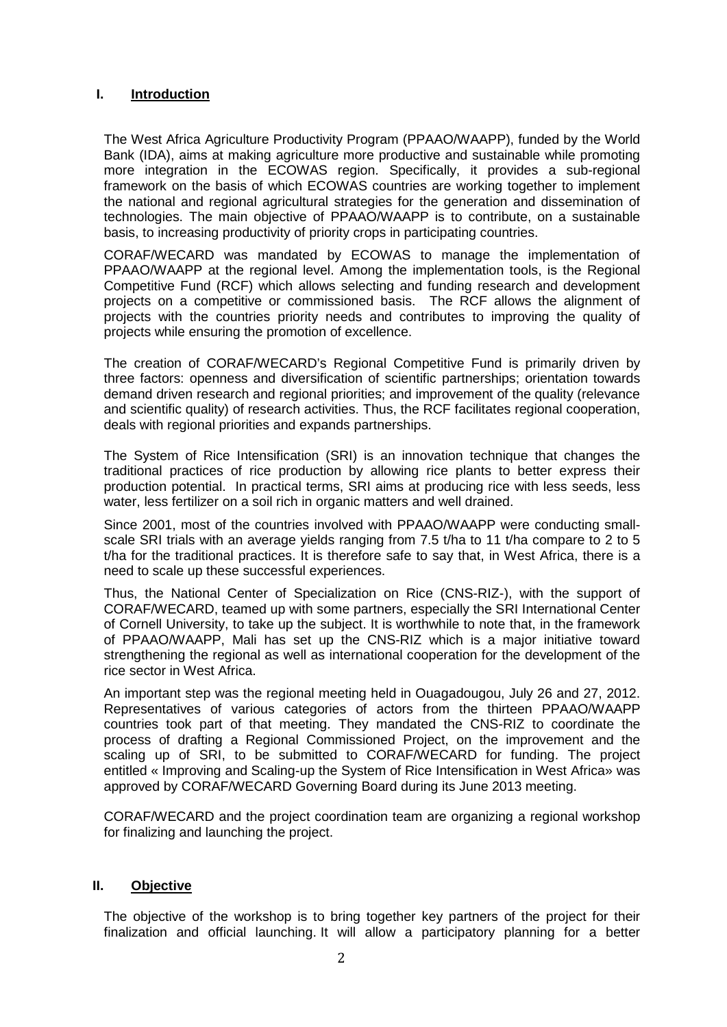## **I. Introduction**

The West Africa Agriculture Productivity Program (PPAAO/WAAPP), funded by the World Bank (IDA), aims at making agriculture more productive and sustainable while promoting more integration in the ECOWAS region. Specifically, it provides a sub-regional framework on the basis of which ECOWAS countries are working together to implement the national and regional agricultural strategies for the generation and dissemination of technologies. The main objective of PPAAO/WAAPP is to contribute, on a sustainable basis, to increasing productivity of priority crops in participating countries.

CORAF/WECARD was mandated by ECOWAS to manage the implementation of PPAAO/WAAPP at the regional level. Among the implementation tools, is the Regional Competitive Fund (RCF) which allows selecting and funding research and development projects on a competitive or commissioned basis. The RCF allows the alignment of projects with the countries priority needs and contributes to improving the quality of projects while ensuring the promotion of excellence.

The creation of CORAF/WECARD's Regional Competitive Fund is primarily driven by three factors: openness and diversification of scientific partnerships; orientation towards demand driven research and regional priorities; and improvement of the quality (relevance and scientific quality) of research activities. Thus, the RCF facilitates regional cooperation, deals with regional priorities and expands partnerships.

The System of Rice Intensification (SRI) is an innovation technique that changes the traditional practices of rice production by allowing rice plants to better express their production potential. In practical terms, SRI aims at producing rice with less seeds, less water, less fertilizer on a soil rich in organic matters and well drained.

Since 2001, most of the countries involved with PPAAO/WAAPP were conducting smallscale SRI trials with an average yields ranging from 7.5 t/ha to 11 t/ha compare to 2 to 5 t/ha for the traditional practices. It is therefore safe to say that, in West Africa, there is a need to scale up these successful experiences.

Thus, the National Center of Specialization on Rice (CNS-RIZ-), with the support of CORAF/WECARD, teamed up with some partners, especially the SRI International Center of Cornell University, to take up the subject. It is worthwhile to note that, in the framework of PPAAO/WAAPP, Mali has set up the CNS-RIZ which is a major initiative toward strengthening the regional as well as international cooperation for the development of the rice sector in West Africa.

An important step was the regional meeting held in Ouagadougou, July 26 and 27, 2012. Representatives of various categories of actors from the thirteen PPAAO/WAAPP countries took part of that meeting. They mandated the CNS-RIZ to coordinate the process of drafting a Regional Commissioned Project, on the improvement and the scaling up of SRI, to be submitted to CORAF/WECARD for funding. The project entitled « Improving and Scaling-up the System of Rice Intensification in West Africa» was approved by CORAF/WECARD Governing Board during its June 2013 meeting.

CORAF/WECARD and the project coordination team are organizing a regional workshop for finalizing and launching the project.

#### **II. Objective**

The objective of the workshop is to bring together key partners of the project for their finalization and official launching. It will allow a participatory planning for a better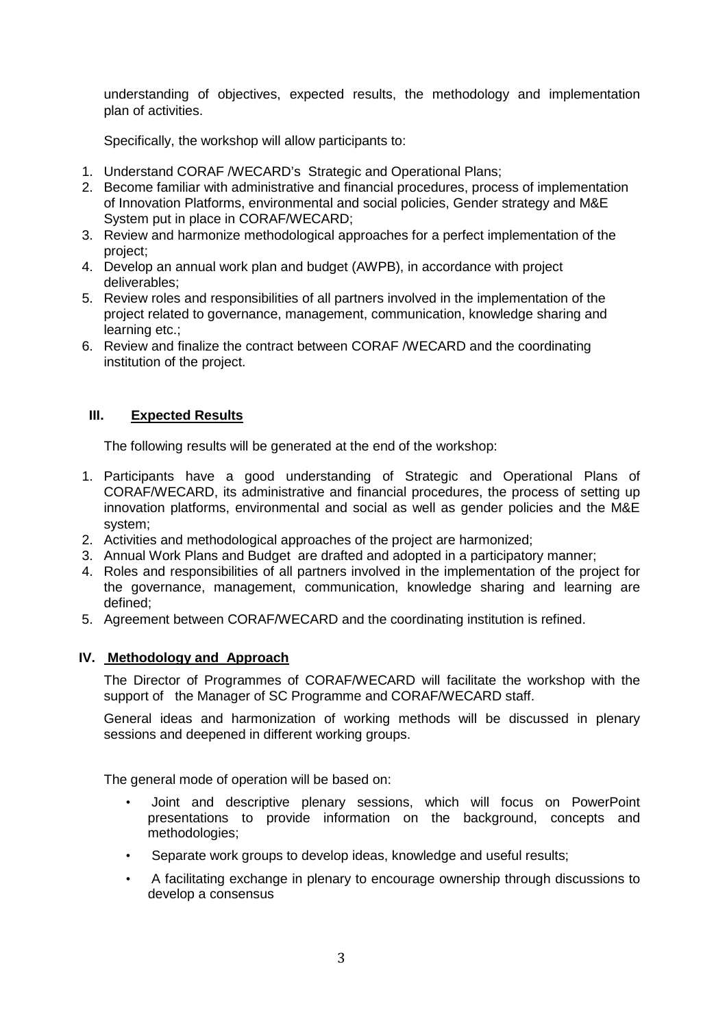understanding of objectives, expected results, the methodology and implementation plan of activities.

Specifically, the workshop will allow participants to:

- 1. Understand CORAF /WECARD's Strategic and Operational Plans;
- 2. Become familiar with administrative and financial procedures, process of implementation of Innovation Platforms, environmental and social policies, Gender strategy and M&E System put in place in CORAF/WECARD;
- 3. Review and harmonize methodological approaches for a perfect implementation of the project;
- 4. Develop an annual work plan and budget (AWPB), in accordance with project deliverables;
- 5. Review roles and responsibilities of all partners involved in the implementation of the project related to governance, management, communication, knowledge sharing and learning etc.;
- 6. Review and finalize the contract between CORAF /WECARD and the coordinating institution of the project.

## **III. Expected Results**

The following results will be generated at the end of the workshop:

- 1. Participants have a good understanding of Strategic and Operational Plans of CORAF/WECARD, its administrative and financial procedures, the process of setting up innovation platforms, environmental and social as well as gender policies and the M&E system;
- 2. Activities and methodological approaches of the project are harmonized;
- 3. Annual Work Plans and Budget are drafted and adopted in a participatory manner;
- 4. Roles and responsibilities of all partners involved in the implementation of the project for the governance, management, communication, knowledge sharing and learning are defined;
- 5. Agreement between CORAF/WECARD and the coordinating institution is refined.

#### **IV. Methodology and Approach**

The Director of Programmes of CORAF/WECARD will facilitate the workshop with the support of the Manager of SC Programme and CORAF/WECARD staff.

General ideas and harmonization of working methods will be discussed in plenary sessions and deepened in different working groups.

The general mode of operation will be based on:

- Joint and descriptive plenary sessions, which will focus on PowerPoint presentations to provide information on the background, concepts and methodologies;
- Separate work groups to develop ideas, knowledge and useful results;
- A facilitating exchange in plenary to encourage ownership through discussions to develop a consensus